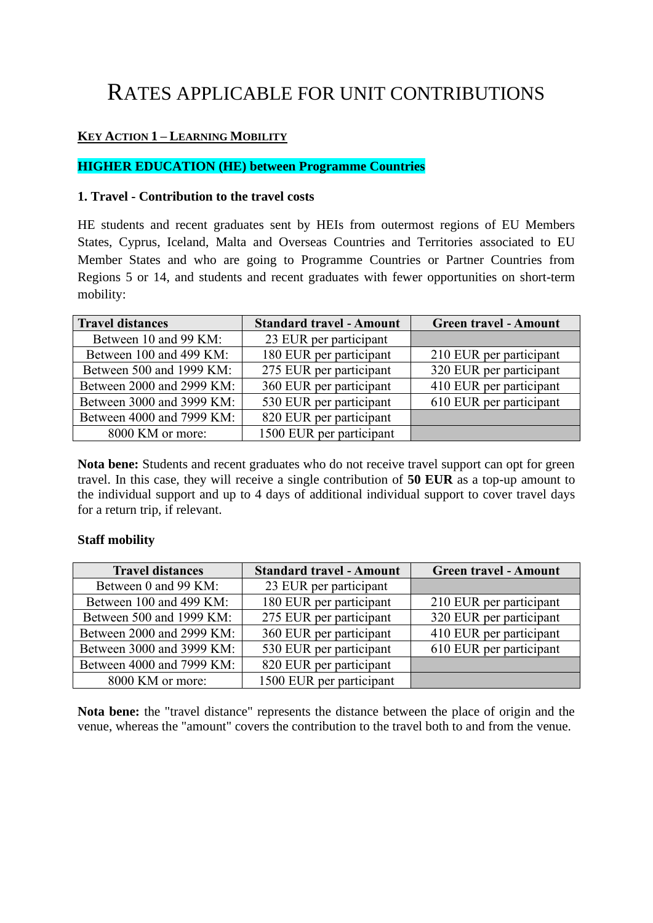# RATES APPLICABLE FOR UNIT CONTRIBUTIONS

# **KEY ACTION 1 – LEARNING MOBILITY**

## **HIGHER EDUCATION (HE) between Programme Countries**

#### **1. Travel - Contribution to the travel costs**

HE students and recent graduates sent by HEIs from outermost regions of EU Members States, Cyprus, Iceland, Malta and Overseas Countries and Territories associated to EU Member States and who are going to Programme Countries or Partner Countries from Regions 5 or 14, and students and recent graduates with fewer opportunities on short-term mobility:

| <b>Travel distances</b>   | <b>Standard travel - Amount</b> | <b>Green travel - Amount</b> |
|---------------------------|---------------------------------|------------------------------|
| Between 10 and 99 KM:     | 23 EUR per participant          |                              |
| Between 100 and 499 KM:   | 180 EUR per participant         | 210 EUR per participant      |
| Between 500 and 1999 KM:  | 275 EUR per participant         | 320 EUR per participant      |
| Between 2000 and 2999 KM: | 360 EUR per participant         | 410 EUR per participant      |
| Between 3000 and 3999 KM: | 530 EUR per participant         | 610 EUR per participant      |
| Between 4000 and 7999 KM: | 820 EUR per participant         |                              |
| 8000 KM or more:          | 1500 EUR per participant        |                              |

**Nota bene:** Students and recent graduates who do not receive travel support can opt for green travel. In this case, they will receive a single contribution of **50 EUR** as a top-up amount to the individual support and up to 4 days of additional individual support to cover travel days for a return trip, if relevant.

#### **Staff mobility**

| <b>Travel distances</b>   | <b>Standard travel - Amount</b> | <b>Green travel - Amount</b> |
|---------------------------|---------------------------------|------------------------------|
| Between 0 and 99 KM:      | 23 EUR per participant          |                              |
| Between 100 and 499 KM:   | 180 EUR per participant         | 210 EUR per participant      |
| Between 500 and 1999 KM:  | 275 EUR per participant         | 320 EUR per participant      |
| Between 2000 and 2999 KM: | 360 EUR per participant         | 410 EUR per participant      |
| Between 3000 and 3999 KM: | 530 EUR per participant         | 610 EUR per participant      |
| Between 4000 and 7999 KM: | 820 EUR per participant         |                              |
| 8000 KM or more:          | 1500 EUR per participant        |                              |

Nota bene: the "travel distance" represents the distance between the place of origin and the venue, whereas the "amount" covers the contribution to the travel both to and from the venue.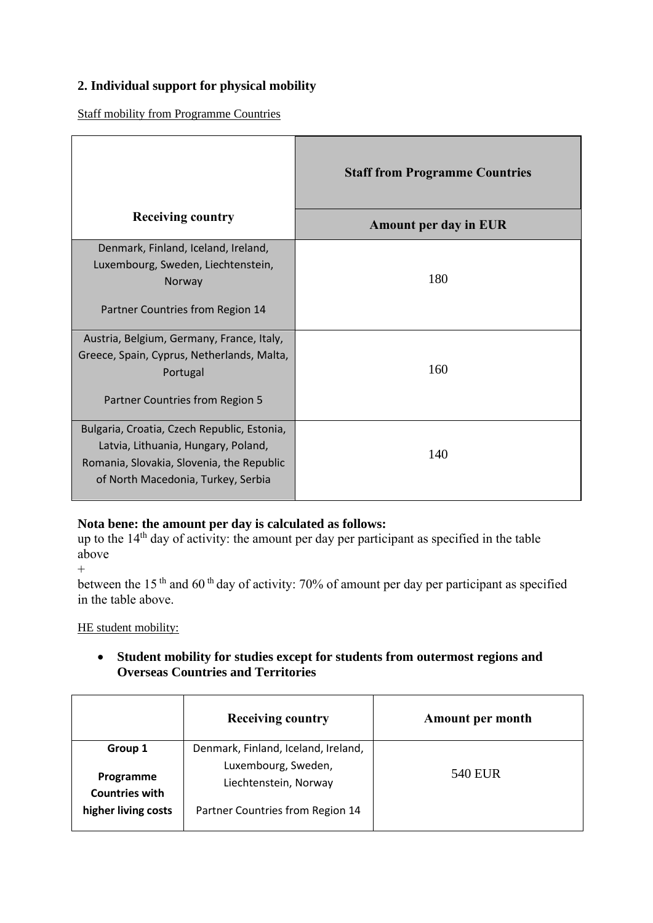# **2. Individual support for physical mobility**

Staff mobility from Programme Countries

|                                                                                                                                                                       | <b>Staff from Programme Countries</b> |
|-----------------------------------------------------------------------------------------------------------------------------------------------------------------------|---------------------------------------|
| <b>Receiving country</b>                                                                                                                                              | <b>Amount per day in EUR</b>          |
| Denmark, Finland, Iceland, Ireland,<br>Luxembourg, Sweden, Liechtenstein,<br>Norway<br>Partner Countries from Region 14                                               | 180                                   |
| Austria, Belgium, Germany, France, Italy,<br>Greece, Spain, Cyprus, Netherlands, Malta,<br>Portugal<br>Partner Countries from Region 5                                | 160                                   |
| Bulgaria, Croatia, Czech Republic, Estonia,<br>Latvia, Lithuania, Hungary, Poland,<br>Romania, Slovakia, Slovenia, the Republic<br>of North Macedonia, Turkey, Serbia | 140                                   |

# **Nota bene: the amount per day is calculated as follows:**

up to the  $14<sup>th</sup>$  day of activity: the amount per day per participant as specified in the table above

 $+$ 

between the 15<sup>th</sup> and 60<sup>th</sup> day of activity: 70% of amount per day per participant as specified in the table above.

HE student mobility:

• **Student mobility for studies except for students from outermost regions and Overseas Countries and Territories**

|                                    | <b>Receiving country</b>                     | <b>Amount per month</b> |
|------------------------------------|----------------------------------------------|-------------------------|
| Group 1                            | Denmark, Finland, Iceland, Ireland,          |                         |
| Programme<br><b>Countries with</b> | Luxembourg, Sweden,<br>Liechtenstein, Norway | 540 EUR                 |
| higher living costs                | Partner Countries from Region 14             |                         |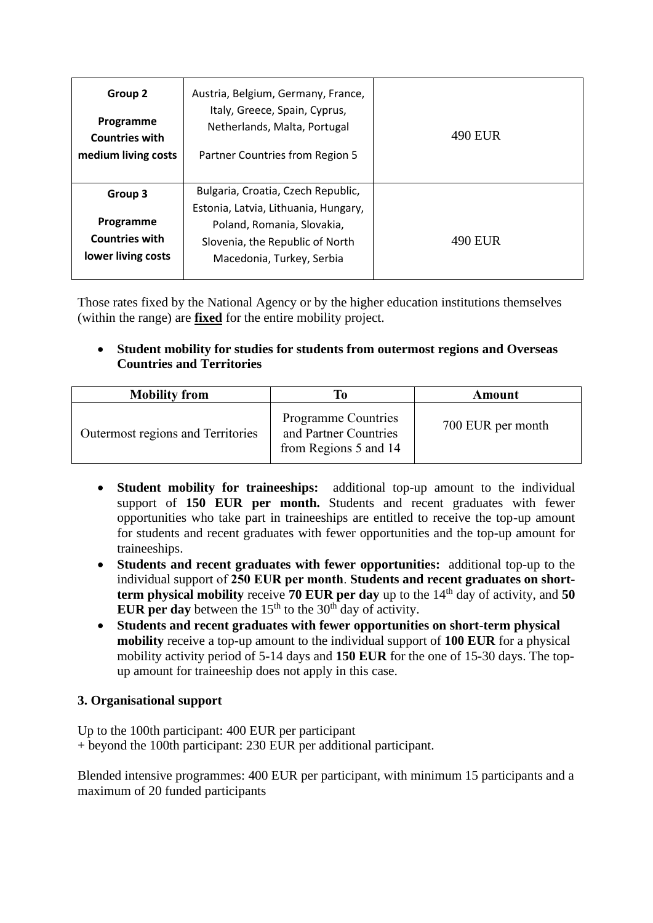| Group 2<br>Programme<br><b>Countries with</b><br>medium living costs | Austria, Belgium, Germany, France,<br>Italy, Greece, Spain, Cyprus,<br>Netherlands, Malta, Portugal<br>Partner Countries from Region 5                                   | 490 EUR |
|----------------------------------------------------------------------|--------------------------------------------------------------------------------------------------------------------------------------------------------------------------|---------|
| Group 3<br>Programme<br><b>Countries with</b><br>lower living costs  | Bulgaria, Croatia, Czech Republic,<br>Estonia, Latvia, Lithuania, Hungary,<br>Poland, Romania, Slovakia,<br>Slovenia, the Republic of North<br>Macedonia, Turkey, Serbia | 490 EUR |

Those rates fixed by the National Agency or by the higher education institutions themselves (within the range) are **fixed** for the entire mobility project.

# • **Student mobility for studies for students from outermost regions and Overseas Countries and Territories**

| <b>Mobility from</b>              |                                                                       | Amount            |
|-----------------------------------|-----------------------------------------------------------------------|-------------------|
| Outermost regions and Territories | Programme Countries<br>and Partner Countries<br>from Regions 5 and 14 | 700 EUR per month |

- **Student mobility for traineeships:** additional top-up amount to the individual support of **150 EUR per month.** Students and recent graduates with fewer opportunities who take part in traineeships are entitled to receive the top-up amount for students and recent graduates with fewer opportunities and the top-up amount for traineeships.
- **Students and recent graduates with fewer opportunities:** additional top-up to the individual support of **250 EUR per month**. **Students and recent graduates on shortterm physical mobility** receive **70 EUR per day** up to the  $14<sup>th</sup>$  day of activity, and **50 EUR per day** between the  $15<sup>th</sup>$  to the  $30<sup>th</sup>$  day of activity.
- **Students and recent graduates with fewer opportunities on short-term physical mobility** receive a top-up amount to the individual support of **100 EUR** for a physical mobility activity period of 5-14 days and **150 EUR** for the one of 15-30 days. The topup amount for traineeship does not apply in this case.

# **3. Organisational support**

Up to the 100th participant: 400 EUR per participant + beyond the 100th participant: 230 EUR per additional participant.

Blended intensive programmes: 400 EUR per participant, with minimum 15 participants and a maximum of 20 funded participants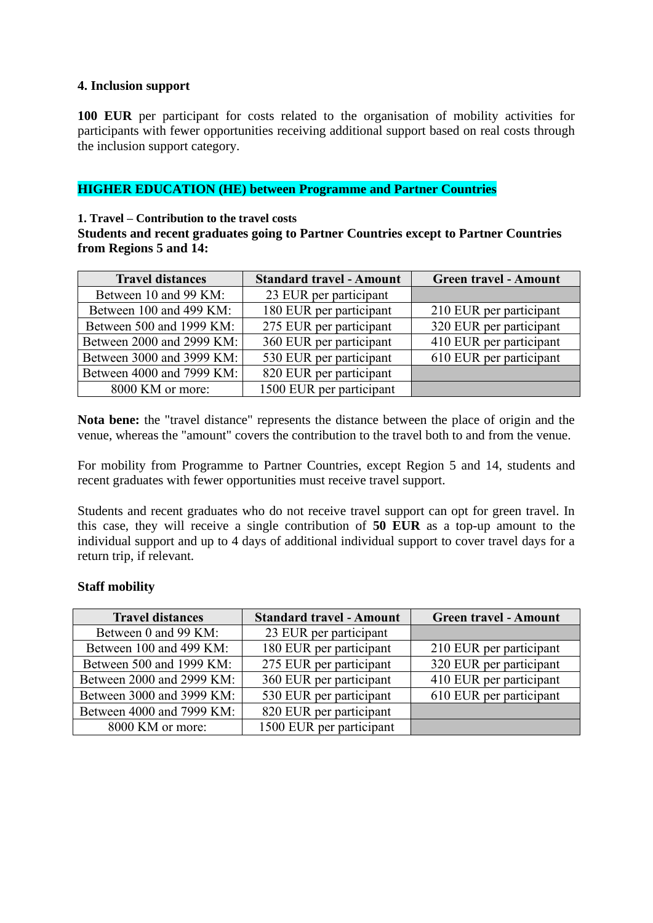#### **4. Inclusion support**

**100 EUR** per participant for costs related to the organisation of mobility activities for participants with fewer opportunities receiving additional support based on real costs through the inclusion support category.

## **HIGHER EDUCATION (HE) between Programme and Partner Countries**

#### **1. Travel – Contribution to the travel costs**

**Students and recent graduates going to Partner Countries except to Partner Countries from Regions 5 and 14:**

| <b>Travel distances</b>   | <b>Standard travel - Amount</b> | <b>Green travel - Amount</b> |
|---------------------------|---------------------------------|------------------------------|
| Between 10 and 99 KM:     | 23 EUR per participant          |                              |
| Between 100 and 499 KM:   | 180 EUR per participant         | 210 EUR per participant      |
| Between 500 and 1999 KM:  | 275 EUR per participant         | 320 EUR per participant      |
| Between 2000 and 2999 KM: | 360 EUR per participant         | 410 EUR per participant      |
| Between 3000 and 3999 KM: | 530 EUR per participant         | 610 EUR per participant      |
| Between 4000 and 7999 KM: | 820 EUR per participant         |                              |
| 8000 KM or more:          | 1500 EUR per participant        |                              |

**Nota bene:** the "travel distance" represents the distance between the place of origin and the venue, whereas the "amount" covers the contribution to the travel both to and from the venue.

For mobility from Programme to Partner Countries, except Region 5 and 14, students and recent graduates with fewer opportunities must receive travel support.

Students and recent graduates who do not receive travel support can opt for green travel. In this case, they will receive a single contribution of **50 EUR** as a top-up amount to the individual support and up to 4 days of additional individual support to cover travel days for a return trip, if relevant.

#### **Staff mobility**

| <b>Travel distances</b>   | <b>Standard travel - Amount</b> | <b>Green travel - Amount</b> |
|---------------------------|---------------------------------|------------------------------|
| Between 0 and 99 KM:      | 23 EUR per participant          |                              |
| Between 100 and 499 KM:   | 180 EUR per participant         | 210 EUR per participant      |
| Between 500 and 1999 KM:  | 275 EUR per participant         | 320 EUR per participant      |
| Between 2000 and 2999 KM: | 360 EUR per participant         | 410 EUR per participant      |
| Between 3000 and 3999 KM: | 530 EUR per participant         | 610 EUR per participant      |
| Between 4000 and 7999 KM: | 820 EUR per participant         |                              |
| 8000 KM or more:          | 1500 EUR per participant        |                              |